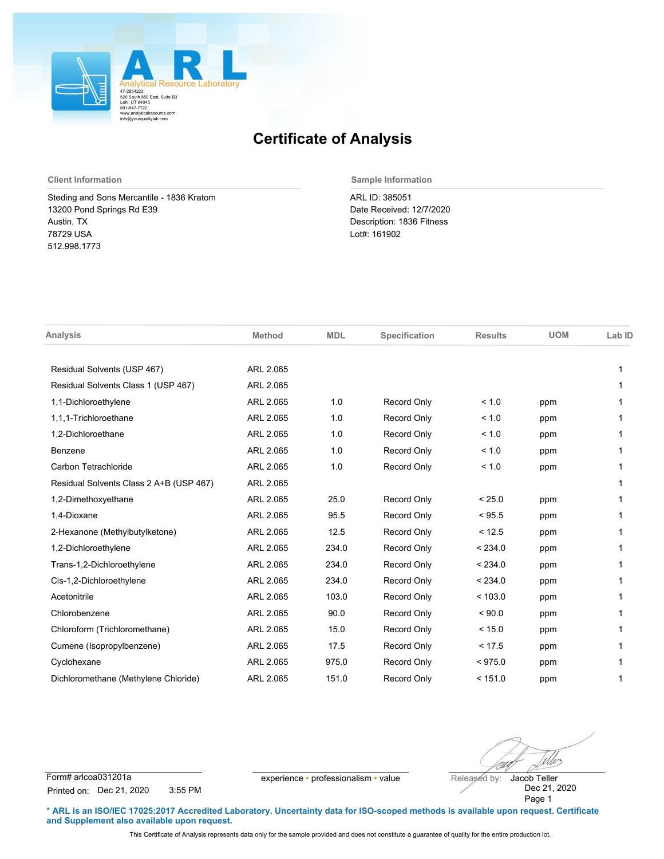

## **Certificate of Analysis**

Steding and Sons Mercantile - 1836 Kratom 13200 Pond Springs Rd E39 Austin, TX 78729 USA 512.998.1773

**Client Information Sample Information**

ARL ID: 385051 Date Received: 12/7/2020 Description: 1836 Fitness Lot#: 161902

| <b>Analysis</b>                         | <b>Method</b> | <b>MDL</b> | Specification      | <b>Results</b> | <b>UOM</b> | Lab ID |
|-----------------------------------------|---------------|------------|--------------------|----------------|------------|--------|
|                                         |               |            |                    |                |            |        |
| Residual Solvents (USP 467)             | ARL 2.065     |            |                    |                |            |        |
| Residual Solvents Class 1 (USP 467)     | ARL 2.065     |            |                    |                |            | 1      |
| 1,1-Dichloroethylene                    | ARL 2.065     | 1.0        | Record Only        | < 1.0          | ppm        | 1      |
| 1.1.1-Trichloroethane                   | ARL 2.065     | 1.0        | Record Only        | < 1.0          | ppm        | 1      |
| 1,2-Dichloroethane                      | ARL 2.065     | 1.0        | Record Only        | < 1.0          | ppm        |        |
| Benzene                                 | ARL 2.065     | 1.0        | Record Only        | < 1.0          | ppm        |        |
| Carbon Tetrachloride                    | ARL 2.065     | 1.0        | Record Only        | < 1.0          | ppm        |        |
| Residual Solvents Class 2 A+B (USP 467) | ARL 2.065     |            |                    |                |            |        |
| 1,2-Dimethoxyethane                     | ARL 2.065     | 25.0       | Record Only        | < 25.0         | ppm        |        |
| 1,4-Dioxane                             | ARL 2.065     | 95.5       | Record Only        | < 95.5         | ppm        |        |
| 2-Hexanone (Methylbutylketone)          | ARL 2.065     | 12.5       | Record Only        | < 12.5         | ppm        |        |
| 1,2-Dichloroethylene                    | ARL 2.065     | 234.0      | Record Only        | < 234.0        | ppm        | 1      |
| Trans-1,2-Dichloroethylene              | ARL 2.065     | 234.0      | Record Only        | < 234.0        | ppm        |        |
| Cis-1,2-Dichloroethylene                | ARL 2.065     | 234.0      | Record Only        | < 234.0        | ppm        |        |
| Acetonitrile                            | ARL 2.065     | 103.0      | Record Only        | < 103.0        | ppm        |        |
| Chlorobenzene                           | ARL 2.065     | 90.0       | Record Only        | ${}_{<}90.0$   | ppm        |        |
| Chloroform (Trichloromethane)           | ARL 2.065     | 15.0       | Record Only        | < 15.0         | ppm        |        |
| Cumene (Isopropylbenzene)               | ARL 2.065     | 17.5       | Record Only        | < 17.5         | ppm        |        |
| Cyclohexane                             | ARL 2.065     | 975.0      | Record Only        | < 975.0        | ppm        |        |
| Dichloromethane (Methylene Chloride)    | ARL 2.065     | 151.0      | <b>Record Only</b> | < 151.0        | ppm        | 1      |

Wes

Form# arlcoa031201a experience • professionalism • value Released by: Printed on: Dec 21, 2020 3:55 PM

Dec 21, 2020 Page 1 Jacob Teller

**\* ARL is an ISO/IEC 17025:2017 Accredited Laboratory. Uncertainty data for ISO-scoped methods is available upon request. Certificate and Supplement also available upon request.**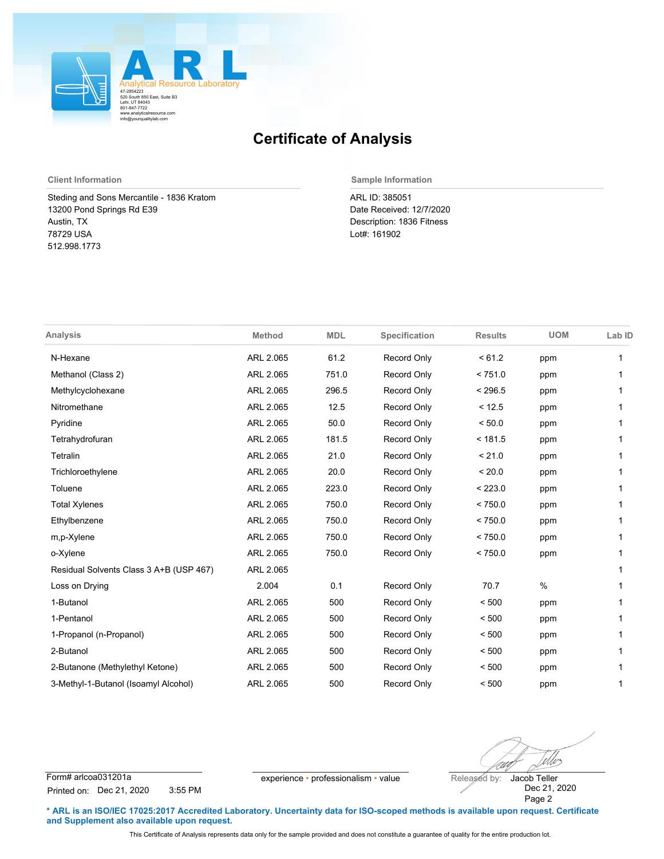

## **Certificate of Analysis**

Steding and Sons Mercantile - 1836 Kratom 13200 Pond Springs Rd E39 Austin, TX 78729 USA 512.998.1773

**Client Information Sample Information**

ARL ID: 385051 Date Received: 12/7/2020 Description: 1836 Fitness Lot#: 161902

| <b>Analysis</b>                         | <b>Method</b> | <b>MDL</b> | Specification      | <b>Results</b> | <b>UOM</b> | Lab ID |
|-----------------------------------------|---------------|------------|--------------------|----------------|------------|--------|
| N-Hexane                                | ARL 2.065     | 61.2       | <b>Record Only</b> | < 61.2         | ppm        | 1      |
| Methanol (Class 2)                      | ARL 2.065     | 751.0      | <b>Record Only</b> | < 751.0        | ppm        |        |
| Methylcyclohexane                       | ARL 2.065     | 296.5      | <b>Record Only</b> | < 296.5        | ppm        | 1      |
| Nitromethane                            | ARL 2.065     | 12.5       | <b>Record Only</b> | < 12.5         | ppm        | 1      |
| Pyridine                                | ARL 2.065     | 50.0       | Record Only        | < 50.0         | ppm        |        |
| Tetrahydrofuran                         | ARL 2.065     | 181.5      | <b>Record Only</b> | < 181.5        | ppm        | 1      |
| Tetralin                                | ARL 2.065     | 21.0       | Record Only        | < 21.0         | ppm        | 1      |
| Trichloroethylene                       | ARL 2.065     | 20.0       | Record Only        | < 20.0         | ppm        |        |
| Toluene                                 | ARL 2.065     | 223.0      | Record Only        | < 223.0        | ppm        | 1      |
| <b>Total Xylenes</b>                    | ARL 2.065     | 750.0      | Record Only        | < 750.0        | ppm        | 1      |
| Ethylbenzene                            | ARL 2.065     | 750.0      | Record Only        | < 750.0        | ppm        | 1      |
| m,p-Xylene                              | ARL 2.065     | 750.0      | <b>Record Only</b> | < 750.0        | ppm        | 1      |
| o-Xylene                                | ARL 2.065     | 750.0      | <b>Record Only</b> | < 750.0        | ppm        |        |
| Residual Solvents Class 3 A+B (USP 467) | ARL 2.065     |            |                    |                |            | 1      |
| Loss on Drying                          | 2.004         | 0.1        | <b>Record Only</b> | 70.7           | $\%$       | 1      |
| 1-Butanol                               | ARL 2.065     | 500        | <b>Record Only</b> | < 500          | ppm        |        |
| 1-Pentanol                              | ARL 2.065     | 500        | Record Only        | < 500          | ppm        | 1      |
| 1-Propanol (n-Propanol)                 | ARL 2.065     | 500        | <b>Record Only</b> | < 500          | ppm        | 1      |
| 2-Butanol                               | ARL 2.065     | 500        | <b>Record Only</b> | < 500          | ppm        |        |
| 2-Butanone (Methylethyl Ketone)         | ARL 2.065     | 500        | <b>Record Only</b> | < 500          | ppm        |        |
| 3-Methyl-1-Butanol (Isoamyl Alcohol)    | ARL 2.065     | 500        | <b>Record Only</b> | < 500          | ppm        | 1      |

Wes

Form# arlcoa031201a experience • professionalism • value Released by: Printed on: Dec 21, 2020 3:55 PM

Dec 21, 2020 Page 2 Jacob Teller

**\* ARL is an ISO/IEC 17025:2017 Accredited Laboratory. Uncertainty data for ISO-scoped methods is available upon request. Certificate and Supplement also available upon request.**